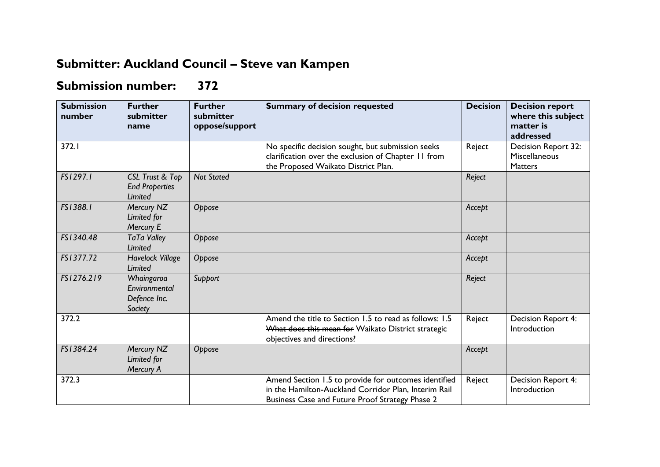## **Submitter: Auckland Council – Steve van Kampen**

## **Submission number: 372**

| <b>Submission</b><br>number | <b>Further</b><br>submitter<br>name                        | <b>Further</b><br>submitter<br>oppose/support | <b>Summary of decision requested</b>                                                                                                                            | <b>Decision</b> | <b>Decision report</b><br>where this subject<br>matter is<br>addressed |
|-----------------------------|------------------------------------------------------------|-----------------------------------------------|-----------------------------------------------------------------------------------------------------------------------------------------------------------------|-----------------|------------------------------------------------------------------------|
| 372.1                       |                                                            |                                               | No specific decision sought, but submission seeks<br>clarification over the exclusion of Chapter 11 from<br>the Proposed Waikato District Plan.                 | Reject          | Decision Report 32:<br>Miscellaneous<br><b>Matters</b>                 |
| FS1297.1                    | CSL Trust & Top<br><b>End Properties</b><br><b>Limited</b> | <b>Not Stated</b>                             |                                                                                                                                                                 | Reject          |                                                                        |
| FS1388.1                    | Mercury NZ<br>Limited for<br>Mercury E                     | Oppose                                        |                                                                                                                                                                 | Accept          |                                                                        |
| FS1340.48                   | <b>TaTa Valley</b><br>Limited                              | Oppose                                        |                                                                                                                                                                 | Accept          |                                                                        |
| FS1377.72                   | <b>Havelock Village</b><br>Limited                         | Oppose                                        |                                                                                                                                                                 | Accept          |                                                                        |
| FS1276.219                  | Whaingaroa<br>Environmental<br>Defence Inc.<br>Society     | Support                                       |                                                                                                                                                                 | Reject          |                                                                        |
| 372.2                       |                                                            |                                               | Amend the title to Section 1.5 to read as follows: 1.5<br>What does this mean for Waikato District strategic<br>objectives and directions?                      | Reject          | Decision Report 4:<br>Introduction                                     |
| FS1384.24                   | Mercury NZ<br>Limited for<br>Mercury A                     | Oppose                                        |                                                                                                                                                                 | Accept          |                                                                        |
| 372.3                       |                                                            |                                               | Amend Section 1.5 to provide for outcomes identified<br>in the Hamilton-Auckland Corridor Plan, Interim Rail<br>Business Case and Future Proof Strategy Phase 2 | Reject          | Decision Report 4:<br>Introduction                                     |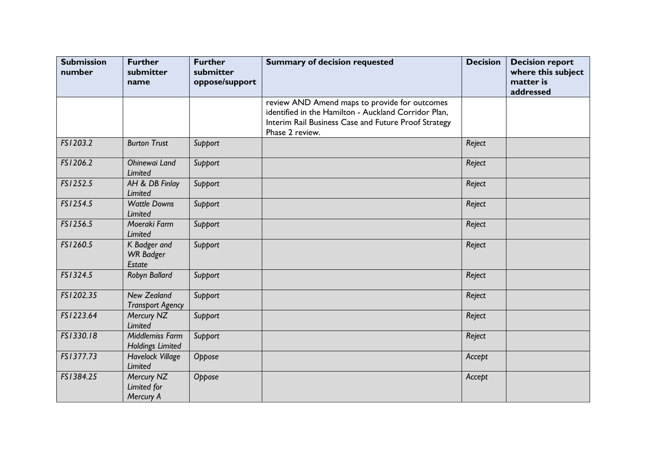| <b>Submission</b><br>number | <b>Further</b><br>submitter<br>name           | <b>Further</b><br>submitter<br>oppose/support | <b>Summary of decision requested</b>                                                                                                                                             | <b>Decision</b> | <b>Decision report</b><br>where this subject<br>matter is<br>addressed |
|-----------------------------|-----------------------------------------------|-----------------------------------------------|----------------------------------------------------------------------------------------------------------------------------------------------------------------------------------|-----------------|------------------------------------------------------------------------|
|                             |                                               |                                               | review AND Amend maps to provide for outcomes<br>identified in the Hamilton - Auckland Corridor Plan,<br>Interim Rail Business Case and Future Proof Strategy<br>Phase 2 review. |                 |                                                                        |
| FS1203.2                    | <b>Burton Trust</b>                           | Support                                       |                                                                                                                                                                                  | Reject          |                                                                        |
| FS1206.2                    | Ohinewai Land<br>Limited                      | Support                                       |                                                                                                                                                                                  | Reject          |                                                                        |
| FS1252.5                    | AH & DB Finlay<br><b>Limited</b>              | Support                                       |                                                                                                                                                                                  | Reject          |                                                                        |
| FS1254.5                    | <b>Wattle Downs</b><br><b>Limited</b>         | Support                                       |                                                                                                                                                                                  | Reject          |                                                                        |
| FS1256.5                    | Moeraki Farm<br><b>Limited</b>                | Support                                       |                                                                                                                                                                                  | Reject          |                                                                        |
| FS1260.5                    | K Badger and<br><b>WR Badger</b><br>Estate    | Support                                       |                                                                                                                                                                                  | Reject          |                                                                        |
| FS1324.5                    | Robyn Ballard                                 | Support                                       |                                                                                                                                                                                  | Reject          |                                                                        |
| FS1202.35                   | <b>New Zealand</b><br><b>Transport Agency</b> | Support                                       |                                                                                                                                                                                  | Reject          |                                                                        |
| FS1223.64                   | Mercury NZ<br><b>Limited</b>                  | Support                                       |                                                                                                                                                                                  | Reject          |                                                                        |
| FS1330.18                   | Middlemiss Farm<br><b>Holdings Limited</b>    | Support                                       |                                                                                                                                                                                  | Reject          |                                                                        |
| FS1377.73                   | <b>Havelock Village</b><br><b>Limited</b>     | Oppose                                        |                                                                                                                                                                                  | Accept          |                                                                        |
| FS1384.25                   | Mercury NZ<br>Limited for<br>Mercury A        | Oppose                                        |                                                                                                                                                                                  | Accept          |                                                                        |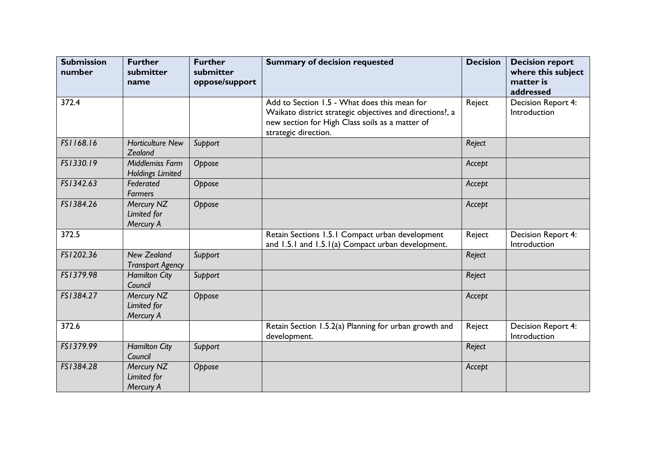| <b>Submission</b><br>number | <b>Further</b><br>submitter<br>name           | <b>Further</b><br>submitter<br>oppose/support | <b>Summary of decision requested</b>                                                                                                                                                | <b>Decision</b> | <b>Decision report</b><br>where this subject<br>matter is<br>addressed |
|-----------------------------|-----------------------------------------------|-----------------------------------------------|-------------------------------------------------------------------------------------------------------------------------------------------------------------------------------------|-----------------|------------------------------------------------------------------------|
| 372.4                       |                                               |                                               | Add to Section 1.5 - What does this mean for<br>Waikato district strategic objectives and directions?, a<br>new section for High Class soils as a matter of<br>strategic direction. | Reject          | Decision Report 4:<br>Introduction                                     |
| FS1168.16                   | <b>Horticulture New</b><br>Zealand            | Support                                       |                                                                                                                                                                                     | Reject          |                                                                        |
| FS1330.19                   | Middlemiss Farm<br><b>Holdings Limited</b>    | Oppose                                        |                                                                                                                                                                                     | Accept          |                                                                        |
| FS1342.63                   | Federated<br><b>Farmers</b>                   | Oppose                                        |                                                                                                                                                                                     | Accept          |                                                                        |
| FS1384.26                   | Mercury NZ<br>Limited for<br>Mercury A        | Oppose                                        |                                                                                                                                                                                     | Accept          |                                                                        |
| 372.5                       |                                               |                                               | Retain Sections 1.5.1 Compact urban development<br>and 1.5.1 and 1.5.1(a) Compact urban development.                                                                                | Reject          | Decision Report 4:<br>Introduction                                     |
| FS1202.36                   | <b>New Zealand</b><br><b>Transport Agency</b> | Support                                       |                                                                                                                                                                                     | Reject          |                                                                        |
| FS1379.98                   | <b>Hamilton City</b><br>Council               | Support                                       |                                                                                                                                                                                     | Reject          |                                                                        |
| FS1384.27                   | Mercury NZ<br>Limited for<br>Mercury A        | Oppose                                        |                                                                                                                                                                                     | Accept          |                                                                        |
| 372.6                       |                                               |                                               | Retain Section 1.5.2(a) Planning for urban growth and<br>development.                                                                                                               | Reject          | Decision Report 4:<br>Introduction                                     |
| FS1379.99                   | <b>Hamilton City</b><br>Council               | Support                                       |                                                                                                                                                                                     | Reject          |                                                                        |
| FS1384.28                   | Mercury NZ<br>Limited for<br>Mercury A        | Oppose                                        |                                                                                                                                                                                     | Accept          |                                                                        |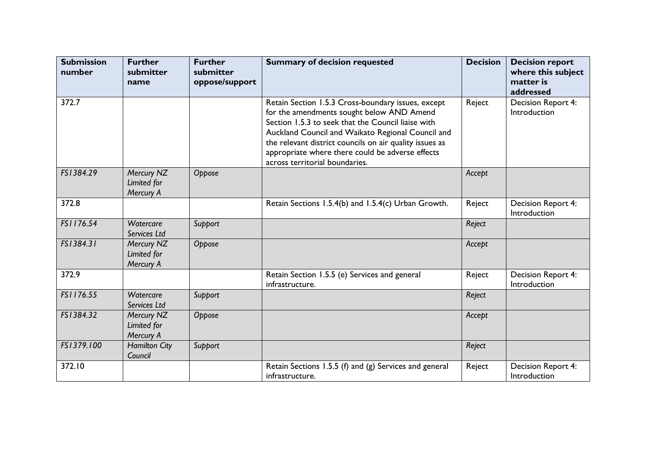| <b>Submission</b><br>number | <b>Further</b><br>submitter<br>name    | <b>Further</b><br>submitter<br>oppose/support | <b>Summary of decision requested</b>                                                                                                                                                                                                                                                                                                                        | <b>Decision</b> | <b>Decision report</b><br>where this subject<br>matter is<br>addressed |
|-----------------------------|----------------------------------------|-----------------------------------------------|-------------------------------------------------------------------------------------------------------------------------------------------------------------------------------------------------------------------------------------------------------------------------------------------------------------------------------------------------------------|-----------------|------------------------------------------------------------------------|
| 372.7                       |                                        |                                               | Retain Section 1.5.3 Cross-boundary issues, except<br>for the amendments sought below AND Amend<br>Section 1.5.3 to seek that the Council liaise with<br>Auckland Council and Waikato Regional Council and<br>the relevant district councils on air quality issues as<br>appropriate where there could be adverse effects<br>across territorial boundaries. | Reject          | Decision Report 4:<br>Introduction                                     |
| FS1384.29                   | Mercury NZ<br>Limited for<br>Mercury A | Oppose                                        |                                                                                                                                                                                                                                                                                                                                                             | Accept          |                                                                        |
| 372.8                       |                                        |                                               | Retain Sections 1.5.4(b) and 1.5.4(c) Urban Growth.                                                                                                                                                                                                                                                                                                         | Reject          | Decision Report 4:<br>Introduction                                     |
| FS1176.54                   | Watercare<br>Services Ltd              | Support                                       |                                                                                                                                                                                                                                                                                                                                                             | Reject          |                                                                        |
| FS1384.31                   | Mercury NZ<br>Limited for<br>Mercury A | Oppose                                        |                                                                                                                                                                                                                                                                                                                                                             | Accept          |                                                                        |
| 372.9                       |                                        |                                               | Retain Section 1.5.5 (e) Services and general<br>infrastructure.                                                                                                                                                                                                                                                                                            | Reject          | Decision Report 4:<br>Introduction                                     |
| FS1176.55                   | Watercare<br>Services Ltd              | Support                                       |                                                                                                                                                                                                                                                                                                                                                             | Reject          |                                                                        |
| FS1384.32                   | Mercury NZ<br>Limited for<br>Mercury A | Oppose                                        |                                                                                                                                                                                                                                                                                                                                                             | Accept          |                                                                        |
| FS1379.100                  | <b>Hamilton City</b><br>Council        | Support                                       |                                                                                                                                                                                                                                                                                                                                                             | Reject          |                                                                        |
| 372.10                      |                                        |                                               | Retain Sections 1.5.5 (f) and (g) Services and general<br>infrastructure.                                                                                                                                                                                                                                                                                   | Reject          | Decision Report 4:<br>Introduction                                     |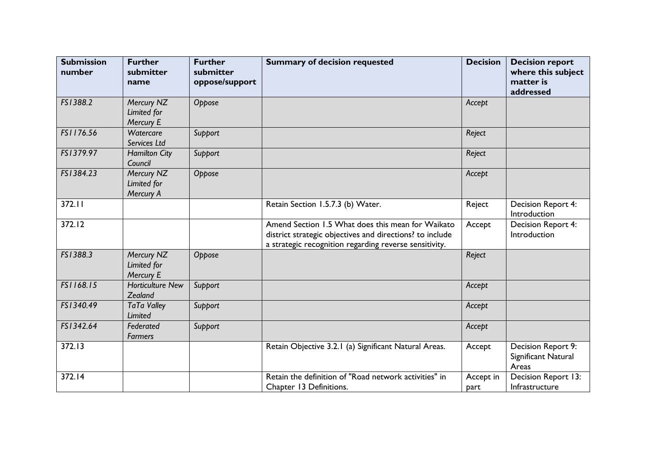| <b>Submission</b><br>number | <b>Further</b><br>submitter<br>name    | <b>Further</b><br>submitter<br>oppose/support | <b>Summary of decision requested</b>                                                                                                                                    | <b>Decision</b>   | <b>Decision report</b><br>where this subject<br>matter is<br>addressed |
|-----------------------------|----------------------------------------|-----------------------------------------------|-------------------------------------------------------------------------------------------------------------------------------------------------------------------------|-------------------|------------------------------------------------------------------------|
| FS1388.2                    | Mercury NZ<br>Limited for<br>Mercury E | Oppose                                        |                                                                                                                                                                         | Accept            |                                                                        |
| FS1176.56                   | Watercare<br>Services Ltd              | Support                                       |                                                                                                                                                                         | Reject            |                                                                        |
| FS1379.97                   | <b>Hamilton City</b><br>Council        | Support                                       |                                                                                                                                                                         | Reject            |                                                                        |
| FS1384.23                   | Mercury NZ<br>Limited for<br>Mercury A | Oppose                                        |                                                                                                                                                                         | Accept            |                                                                        |
| 372.11                      |                                        |                                               | Retain Section 1.5.7.3 (b) Water.                                                                                                                                       | Reject            | Decision Report 4:<br>Introduction                                     |
| 372.12                      |                                        |                                               | Amend Section 1.5 What does this mean for Waikato<br>district strategic objectives and directions? to include<br>a strategic recognition regarding reverse sensitivity. | Accept            | Decision Report 4:<br>Introduction                                     |
| FS1388.3                    | Mercury NZ<br>Limited for<br>Mercury E | Oppose                                        |                                                                                                                                                                         | Reject            |                                                                        |
| FS1168.15                   | <b>Horticulture New</b><br>Zealand     | Support                                       |                                                                                                                                                                         | Accept            |                                                                        |
| FS1340.49                   | <b>TaTa Valley</b><br><b>Limited</b>   | Support                                       |                                                                                                                                                                         | Accept            |                                                                        |
| FS1342.64                   | Federated<br><b>Farmers</b>            | Support                                       |                                                                                                                                                                         | Accept            |                                                                        |
| 372.13                      |                                        |                                               | Retain Objective 3.2.1 (a) Significant Natural Areas.                                                                                                                   | Accept            | Decision Report 9:<br>Significant Natural<br>Areas                     |
| 372.14                      |                                        |                                               | Retain the definition of "Road network activities" in<br>Chapter 13 Definitions.                                                                                        | Accept in<br>part | Decision Report 13:<br>Infrastructure                                  |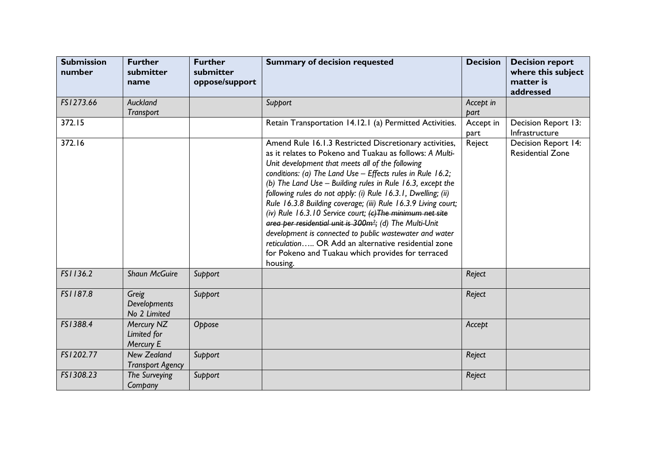| <b>Submission</b><br>number | <b>Further</b><br>submitter<br>name           | <b>Further</b><br>submitter<br>oppose/support | <b>Summary of decision requested</b>                                                                                                                                                                                                                                                                                                                                                                                                                                                                                                                                                                                                                                                                                                                                              | <b>Decision</b>   | <b>Decision report</b><br>where this subject<br>matter is<br>addressed |
|-----------------------------|-----------------------------------------------|-----------------------------------------------|-----------------------------------------------------------------------------------------------------------------------------------------------------------------------------------------------------------------------------------------------------------------------------------------------------------------------------------------------------------------------------------------------------------------------------------------------------------------------------------------------------------------------------------------------------------------------------------------------------------------------------------------------------------------------------------------------------------------------------------------------------------------------------------|-------------------|------------------------------------------------------------------------|
| FS1273.66                   | Auckland<br>Transport                         |                                               | Support                                                                                                                                                                                                                                                                                                                                                                                                                                                                                                                                                                                                                                                                                                                                                                           | Accept in<br>part |                                                                        |
| 372.15                      |                                               |                                               | Retain Transportation 14.12.1 (a) Permitted Activities.                                                                                                                                                                                                                                                                                                                                                                                                                                                                                                                                                                                                                                                                                                                           | Accept in<br>part | Decision Report 13:<br>Infrastructure                                  |
| 372.16                      |                                               |                                               | Amend Rule 16.1.3 Restricted Discretionary activities,<br>as it relates to Pokeno and Tuakau as follows: A Multi-<br>Unit development that meets all of the following<br>conditions: (a) The Land Use - Effects rules in Rule 16.2;<br>(b) The Land Use $-$ Building rules in Rule 16.3, except the<br>following rules do not apply: (i) Rule 16.3.1, Dwelling; (ii)<br>Rule 16.3.8 Building coverage; (iii) Rule 16.3.9 Living court;<br>(iv) Rule 16.3.10 Service court; $\left(\epsilon\right)$ The minimum net site<br>area per residential unit is 300m <sup>2</sup> ; (d) The Multi-Unit<br>development is connected to public wastewater and water<br>reticulation OR Add an alternative residential zone<br>for Pokeno and Tuakau which provides for terraced<br>housing. | Reject            | Decision Report 14:<br><b>Residential Zone</b>                         |
| FS1136.2                    | <b>Shaun McGuire</b>                          | Support                                       |                                                                                                                                                                                                                                                                                                                                                                                                                                                                                                                                                                                                                                                                                                                                                                                   | Reject            |                                                                        |
| FS1187.8                    | Greig<br>Developments<br>No 2 Limited         | Support                                       |                                                                                                                                                                                                                                                                                                                                                                                                                                                                                                                                                                                                                                                                                                                                                                                   | Reject            |                                                                        |
| FS1388.4                    | Mercury NZ<br>Limited for<br>Mercury E        | Oppose                                        |                                                                                                                                                                                                                                                                                                                                                                                                                                                                                                                                                                                                                                                                                                                                                                                   | Accept            |                                                                        |
| FS1202.77                   | <b>New Zealand</b><br><b>Transport Agency</b> | Support                                       |                                                                                                                                                                                                                                                                                                                                                                                                                                                                                                                                                                                                                                                                                                                                                                                   | Reject            |                                                                        |
| FS1308.23                   | The Surveying<br>Company                      | Support                                       |                                                                                                                                                                                                                                                                                                                                                                                                                                                                                                                                                                                                                                                                                                                                                                                   | Reject            |                                                                        |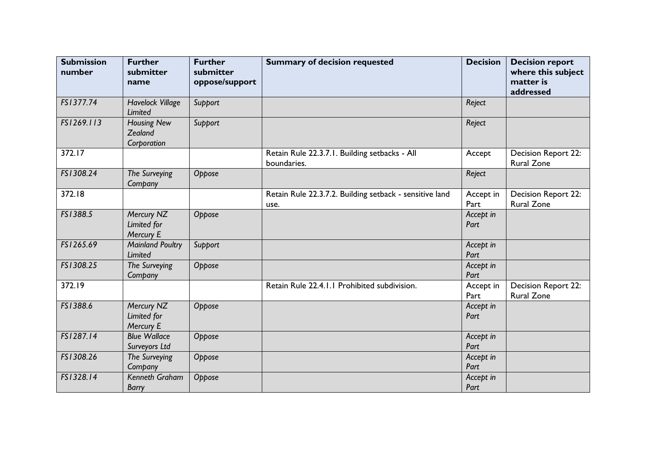| <b>Submission</b><br>number | <b>Further</b><br>submitter<br>name          | <b>Further</b><br>submitter<br>oppose/support | <b>Summary of decision requested</b>                            | <b>Decision</b>   | <b>Decision report</b><br>where this subject<br>matter is<br>addressed |
|-----------------------------|----------------------------------------------|-----------------------------------------------|-----------------------------------------------------------------|-------------------|------------------------------------------------------------------------|
| FS1377.74                   | <b>Havelock Village</b><br>Limited           | Support                                       |                                                                 | Reject            |                                                                        |
| FS1269.113                  | <b>Housing New</b><br>Zealand<br>Corporation | Support                                       |                                                                 | Reject            |                                                                        |
| 372.17                      |                                              |                                               | Retain Rule 22.3.7.1. Building setbacks - All<br>boundaries.    | Accept            | Decision Report 22:<br><b>Rural Zone</b>                               |
| FS1308.24                   | The Surveying<br>Company                     | Oppose                                        |                                                                 | Reject            |                                                                        |
| 372.18                      |                                              |                                               | Retain Rule 22.3.7.2. Building setback - sensitive land<br>use. | Accept in<br>Part | Decision Report 22:<br><b>Rural Zone</b>                               |
| FS1388.5                    | Mercury NZ<br>Limited for<br>Mercury E       | Oppose                                        |                                                                 | Accept in<br>Part |                                                                        |
| FS1265.69                   | <b>Mainland Poultry</b><br><b>Limited</b>    | Support                                       |                                                                 | Accept in<br>Part |                                                                        |
| FS1308.25                   | The Surveying<br>Company                     | Oppose                                        |                                                                 | Accept in<br>Part |                                                                        |
| 372.19                      |                                              |                                               | Retain Rule 22.4.1.1 Prohibited subdivision.                    | Accept in<br>Part | Decision Report 22:<br><b>Rural Zone</b>                               |
| FS1388.6                    | Mercury NZ<br>Limited for<br>Mercury E       | Oppose                                        |                                                                 | Accept in<br>Part |                                                                        |
| FS1287.14                   | <b>Blue Wallace</b><br>Surveyors Ltd         | Oppose                                        |                                                                 | Accept in<br>Part |                                                                        |
| FS1308.26                   | The Surveying<br>Company                     | Oppose                                        |                                                                 | Accept in<br>Part |                                                                        |
| FS1328.14                   | Kenneth Graham<br><b>Barry</b>               | Oppose                                        |                                                                 | Accept in<br>Part |                                                                        |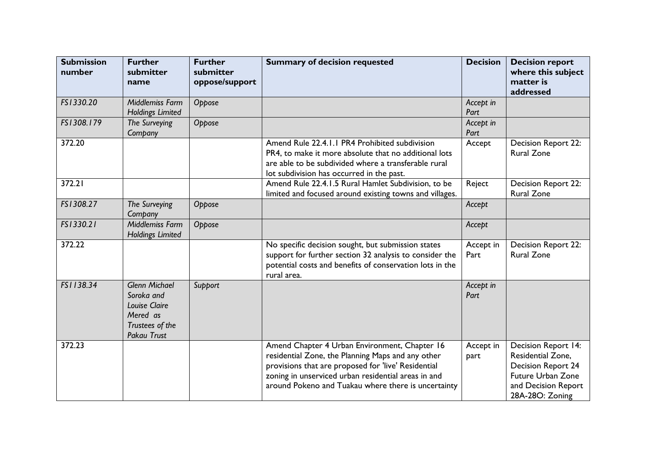| <b>Submission</b><br>number | <b>Further</b><br>submitter<br>name                                                                             | <b>Further</b><br>submitter<br>oppose/support | <b>Summary of decision requested</b>                                                                                                                                                                                                                                    | <b>Decision</b>   | <b>Decision report</b><br>where this subject<br>matter is<br>addressed                                                                      |
|-----------------------------|-----------------------------------------------------------------------------------------------------------------|-----------------------------------------------|-------------------------------------------------------------------------------------------------------------------------------------------------------------------------------------------------------------------------------------------------------------------------|-------------------|---------------------------------------------------------------------------------------------------------------------------------------------|
| FS1330.20                   | Middlemiss Farm<br><b>Holdings Limited</b>                                                                      | Oppose                                        |                                                                                                                                                                                                                                                                         | Accept in<br>Part |                                                                                                                                             |
| FS1308.179                  | The Surveying<br>Company                                                                                        | Oppose                                        |                                                                                                                                                                                                                                                                         | Accept in<br>Part |                                                                                                                                             |
| 372.20                      |                                                                                                                 |                                               | Amend Rule 22.4.1.1 PR4 Prohibited subdivision<br>PR4, to make it more absolute that no additional lots<br>are able to be subdivided where a transferable rural<br>lot subdivision has occurred in the past.                                                            | Accept            | Decision Report 22:<br><b>Rural Zone</b>                                                                                                    |
| 372.21                      |                                                                                                                 |                                               | Amend Rule 22.4.1.5 Rural Hamlet Subdivision, to be<br>limited and focused around existing towns and villages.                                                                                                                                                          | Reject            | Decision Report 22:<br><b>Rural Zone</b>                                                                                                    |
| FS1308.27                   | The Surveying<br>Company                                                                                        | Oppose                                        |                                                                                                                                                                                                                                                                         | Accept            |                                                                                                                                             |
| FS1330.21                   | Middlemiss Farm<br><b>Holdings Limited</b>                                                                      | Oppose                                        |                                                                                                                                                                                                                                                                         | Accept            |                                                                                                                                             |
| 372.22                      |                                                                                                                 |                                               | No specific decision sought, but submission states<br>support for further section 32 analysis to consider the<br>potential costs and benefits of conservation lots in the<br>rural area.                                                                                | Accept in<br>Part | Decision Report 22:<br><b>Rural Zone</b>                                                                                                    |
| FS1138.34                   | <b>Glenn Michael</b><br>Soroka and<br><b>Louise Claire</b><br>Mered as<br>Trustees of the<br><b>Pakau Trust</b> | Support                                       |                                                                                                                                                                                                                                                                         | Accept in<br>Part |                                                                                                                                             |
| 372.23                      |                                                                                                                 |                                               | Amend Chapter 4 Urban Environment, Chapter 16<br>residential Zone, the Planning Maps and any other<br>provisions that are proposed for 'live' Residential<br>zoning in unserviced urban residential areas in and<br>around Pokeno and Tuakau where there is uncertainty | Accept in<br>part | Decision Report 14:<br>Residential Zone,<br><b>Decision Report 24</b><br><b>Future Urban Zone</b><br>and Decision Report<br>28A-28O: Zoning |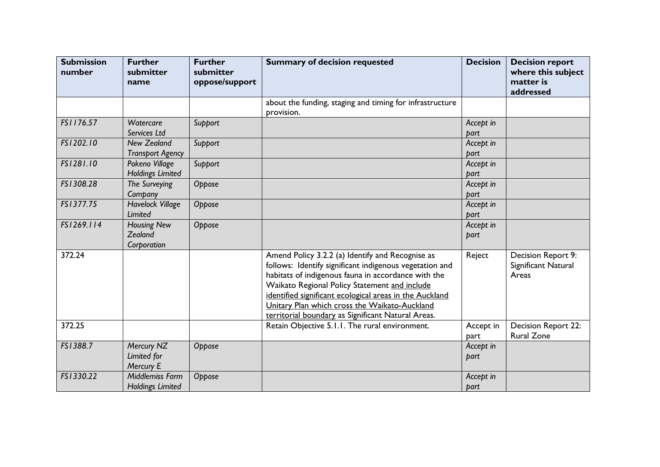| <b>Submission</b><br>number | <b>Further</b><br>submitter<br>name           | <b>Further</b><br>submitter<br>oppose/support | <b>Summary of decision requested</b>                                                                                                                                                                                                                                                                                                                                                  | <b>Decision</b>   | <b>Decision report</b><br>where this subject<br>matter is<br>addressed |
|-----------------------------|-----------------------------------------------|-----------------------------------------------|---------------------------------------------------------------------------------------------------------------------------------------------------------------------------------------------------------------------------------------------------------------------------------------------------------------------------------------------------------------------------------------|-------------------|------------------------------------------------------------------------|
|                             |                                               |                                               | about the funding, staging and timing for infrastructure<br>provision.                                                                                                                                                                                                                                                                                                                |                   |                                                                        |
| FS1176.57                   | Watercare<br>Services Ltd                     | Support                                       |                                                                                                                                                                                                                                                                                                                                                                                       | Accept in<br>part |                                                                        |
| FS1202.10                   | <b>New Zealand</b><br><b>Transport Agency</b> | Support                                       |                                                                                                                                                                                                                                                                                                                                                                                       | Accept in<br>part |                                                                        |
| FS1281.10                   | Pokeno Village<br><b>Holdings Limited</b>     | Support                                       |                                                                                                                                                                                                                                                                                                                                                                                       | Accept in<br>part |                                                                        |
| FS1308.28                   | The Surveying<br>Company                      | Oppose                                        |                                                                                                                                                                                                                                                                                                                                                                                       | Accept in<br>part |                                                                        |
| FS1377.75                   | <b>Havelock Village</b><br>Limited            | Oppose                                        |                                                                                                                                                                                                                                                                                                                                                                                       | Accept in<br>part |                                                                        |
| FS1269.114                  | <b>Housing New</b><br>Zealand<br>Corporation  | Oppose                                        |                                                                                                                                                                                                                                                                                                                                                                                       | Accept in<br>part |                                                                        |
| 372.24                      |                                               |                                               | Amend Policy 3.2.2 (a) Identify and Recognise as<br>follows: Identify significant indigenous vegetation and<br>habitats of indigenous fauna in accordance with the<br>Waikato Regional Policy Statement and include<br>identified significant ecological areas in the Auckland<br>Unitary Plan which cross the Waikato-Auckland<br>territorial boundary as Significant Natural Areas. | Reject            | Decision Report 9:<br>Significant Natural<br>Areas                     |
| 372.25                      |                                               |                                               | Retain Objective 5.1.1. The rural environment.                                                                                                                                                                                                                                                                                                                                        | Accept in<br>part | Decision Report 22:<br><b>Rural Zone</b>                               |
| FS1388.7                    | Mercury NZ<br>Limited for<br>Mercury E        | Oppose                                        |                                                                                                                                                                                                                                                                                                                                                                                       | Accept in<br>part |                                                                        |
| FS1330.22                   | Middlemiss Farm<br><b>Holdings Limited</b>    | Oppose                                        |                                                                                                                                                                                                                                                                                                                                                                                       | Accept in<br>part |                                                                        |